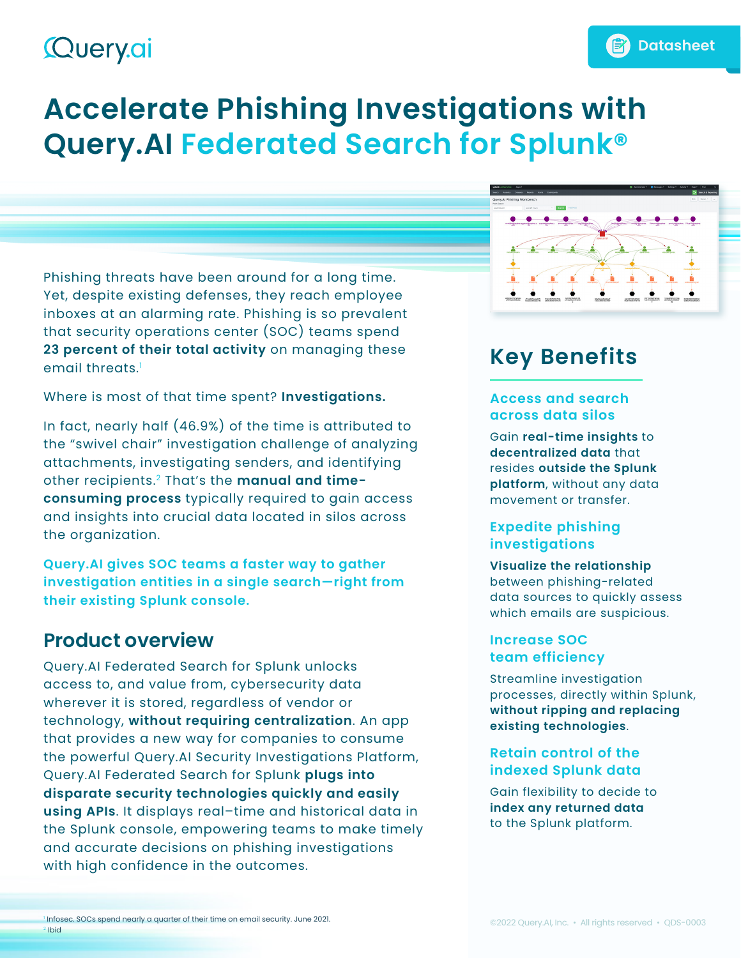# **Queryai**

# **Accelerate Phishing Investigations with Query.AI Federated Search for Splunk®**

Phishing threats have been around for a long time. Yet, despite existing defenses, they reach employee inboxes at an alarming rate. Phishing is so prevalent that security operations center (SOC) teams spend **23 percent of their total activity** on managing these email threats.<sup>1</sup>

Where is most of that time spent? **Investigations.** 

In fact, nearly half (46.9%) of the time is attributed to the "swivel chair" investigation challenge of analyzing attachments, investigating senders, and identifying other recipients.2 That's the **manual and timeconsuming process** typically required to gain access and insights into crucial data located in silos across the organization.

**Query.AI gives SOC teams a faster way to gather investigation entities in a single search—right from their existing Splunk console.**

# **Product overview**

Query.AI Federated Search for Splunk unlocks access to, and value from, cybersecurity data wherever it is stored, regardless of vendor or technology, **without requiring centralization**. An app that provides a new way for companies to consume the powerful Query.AI Security Investigations Platform, Query.AI Federated Search for Splunk **plugs into disparate security technologies quickly and easily using APIs**. It displays real–time and historical data in the Splunk console, empowering teams to make timely and accurate decisions on phishing investigations with high confidence in the outcomes.



# **Key Benefits**

#### **Access and search across data silos**

Gain **real-time insights** to **decentralized data** that resides **outside the Splunk platform**, without any data movement or transfer.

#### **Expedite phishing investigations**

#### **Visualize the relationship**  between phishing-related data sources to quickly assess which emails are suspicious.

#### **Increase SOC team efficiency**

Streamline investigation processes, directly within Splunk, **without ripping and replacing existing technologies**.

#### **Retain control of the indexed Splunk data**

Gain flexibility to decide to **index any returned data** to the Splunk platform.